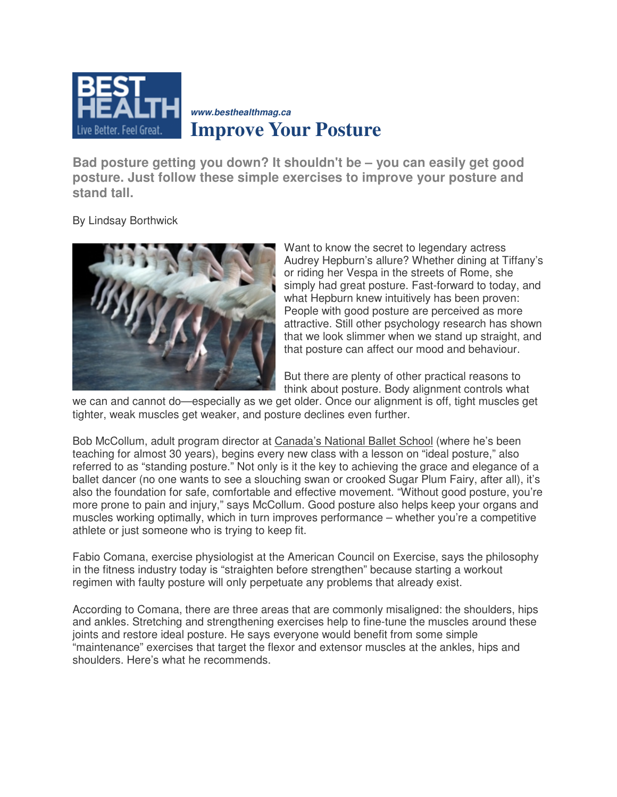

**Bad posture getting you down? It shouldn't be – you can easily get good posture. Just follow these simple exercises to improve your posture and stand tall.** 

By Lindsay Borthwick



Want to know the secret to legendary actress Audrey Hepburn's allure? Whether dining at Tiffany's or riding her Vespa in the streets of Rome, she simply had great posture. Fast-forward to today, and what Hepburn knew intuitively has been proven: People with good posture are perceived as more attractive. Still other psychology research has shown that we look slimmer when we stand up straight, and that posture can affect our mood and behaviour.

But there are plenty of other practical reasons to think about posture. Body alignment controls what

we can and cannot do—especially as we get older. Once our alignment is off, tight muscles get tighter, weak muscles get weaker, and posture declines even further.

Bob McCollum, adult program director at Canada's National Ballet School (where he's been teaching for almost 30 years), begins every new class with a lesson on "ideal posture," also referred to as "standing posture." Not only is it the key to achieving the grace and elegance of a ballet dancer (no one wants to see a slouching swan or crooked Sugar Plum Fairy, after all), it's also the foundation for safe, comfortable and effective movement. "Without good posture, you're more prone to pain and injury," says McCollum. Good posture also helps keep your organs and muscles working optimally, which in turn improves performance – whether you're a competitive athlete or just someone who is trying to keep fit.

Fabio Comana, exercise physiologist at the American Council on Exercise, says the philosophy in the fitness industry today is "straighten before strengthen" because starting a workout regimen with faulty posture will only perpetuate any problems that already exist.

According to Comana, there are three areas that are commonly misaligned: the shoulders, hips and ankles. Stretching and strengthening exercises help to fine-tune the muscles around these joints and restore ideal posture. He says everyone would benefit from some simple "maintenance" exercises that target the flexor and extensor muscles at the ankles, hips and shoulders. Here's what he recommends.